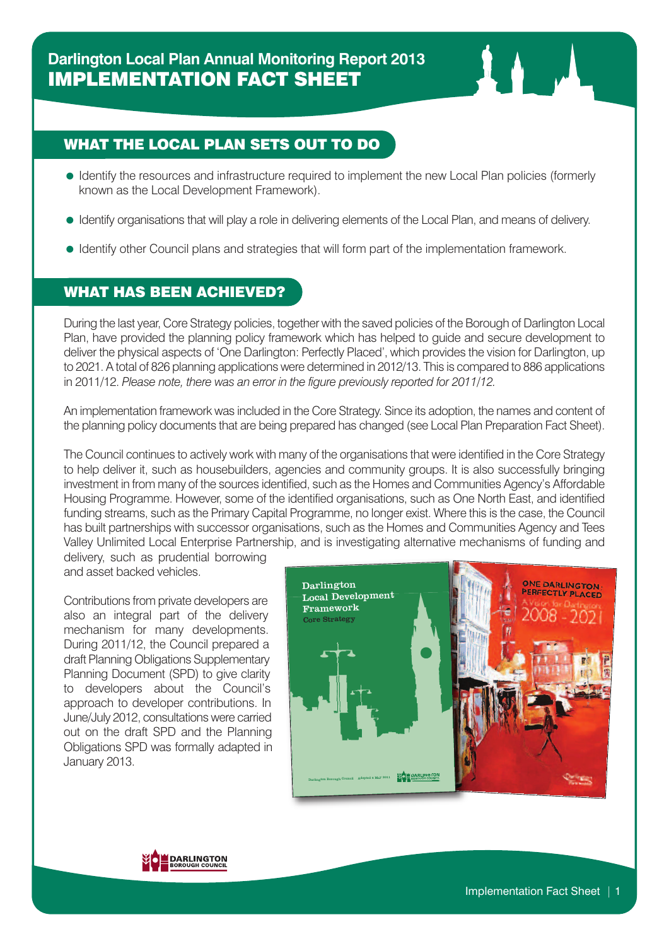## WHAT THE LOCAL PLAN SETS OUT TO DO

- Identify the resources and infrastructure required to implement the new Local Plan policies (formerly known as the Local Development Framework).
- Identify organisations that will play a role in delivering elements of the Local Plan, and means of delivery.
- Identify other Council plans and strategies that will form part of the implementation framework.

## WHAT HAS BEEN ACHIEVED?

During the last year, Core Strategy policies, together with the saved policies of the Borough of Darlington Local Plan, have provided the planning policy framework which has helped to guide and secure development to deliver the physical aspects of 'One Darlington: Perfectly Placed', which provides the vision for Darlington, up to 2021. A total of 826 planning applications were determined in 2012/13. This is compared to 886 applications in 2011/12. *Please note, there was an error in the figure previously reported for 2011/12.*

An implementation framework was included in the Core Strategy. Since its adoption, the names and content of the planning policy documents that are being prepared has changed (see Local Plan Preparation Fact Sheet).

The Council continues to actively work with many of the organisations that were identified in the Core Strategy to help deliver it, such as housebuilders, agencies and community groups. It is also successfully bringing investment in from many of the sources identified, such as the Homes and Communities Agency's Affordable Housing Programme. However, some of the identified organisations, such as One North East, and identified funding streams, such as the Primary Capital Programme, no longer exist. Where this is the case, the Council has built partnerships with successor organisations, such as the Homes and Communities Agency and Tees Valley Unlimited Local Enterprise Partnership, and is investigating alternative mechanisms of funding and

delivery, such as prudential borrowing and asset backed vehicles.

Contributions from private developers are also an integral part of the delivery mechanism for many developments. During 2011/12, the Council prepared a draft Planning Obligations Supplementary Planning Document (SPD) to give clarity to developers about the Council's approach to developer contributions. In June/July 2012, consultationswere carried out on the draft SPD and the Planning Obligations SPD was formally adapted in January 2013.